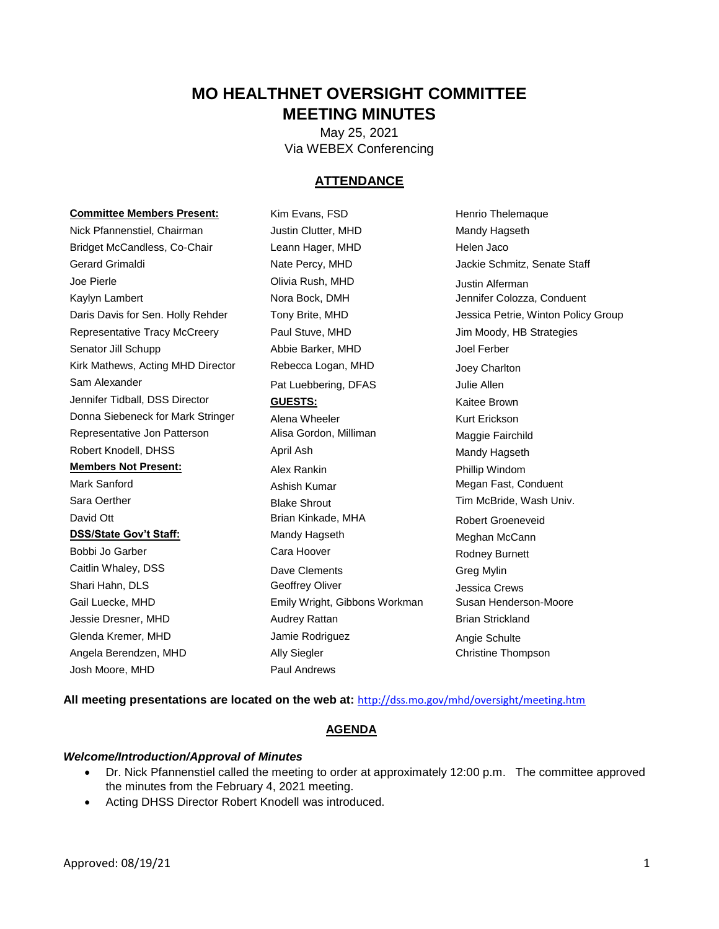# **MO HEALTHNET OVERSIGHT COMMITTEE MEETING MINUTES**

May 25, 2021 Via WEBEX Conferencing

## **ATTENDANCE**

#### **Committee Members Present:** Kim Evans, FSD Henrio Thelemaque

Bridget McCandless, Co-Chair **Leann Hager, MHD** Helen Jaco Gerard Grimaldi **Nate Percy, MHD** Jackie Schmitz, Senate Staff Joe Pierle **Communist Clivia Rush, MHD** Justin Alferman Kaylyn Lambert **Nora Bock, DMH** Jennifer Colozza, Conduent Representative Tracy McCreery **Paul Stuve, MHD** Jim Moody, HB Strategies Senator Jill Schupp Abbie Barker, MHD Joel Ferber Kirk Mathews, Acting MHD Director Rebecca Logan, MHD Joey Charlton Sam Alexander The Pat Luebbering, DFAS Julie Allen Jennifer Tidball, DSS Director **GUESTS: GUESTS:** Kaitee Brown Donna Siebeneck for Mark Stringer Alena Wheeler Mark Stringer Kurt Erickson Representative Jon Patterson **Alisa Gordon, Milliman** Maggie Fairchild Robert Knodell, DHSS **April Ash** April Ash Mandy Hagseth **Members Not Present:** Alex Rankin Phillip Windom Mark Sanford **Ashish Kumar** Megan Fast, Conduent Sara Oerther **Shrout** Blake Shrout Tim McBride, Wash Univ. David Ott **Brian Kinkade, MHA** Robert Groeneveid **DSS/State Gov't Staff:** Mandy Hagseth Meghan McCann Bobbi Jo Garber **Cara Hoover** Cara Hoover **Rodney Burnett** Caitlin Whaley, DSS **Dave Clements** Greg Mylin Shari Hahn, DLS Geoffrey Oliver Jessica Crews Gail Luecke, MHD **Emily Wright, Gibbons Workman** Susan Henderson-Moore Jessie Dresner, MHD **Audrey Rattan Channes Audrey Rattan** Brian Strickland Glenda Kremer, MHD **State Angie Schulte** Jamie Rodriguez **Angie Schulte** Angela Berendzen, MHD **Ally Siegler** Ally Siegler Christine Thompson Josh Moore, MHD Paul Andrews

Nick Pfannenstiel, Chairman Justin Clutter, MHD Mandy Hagseth

Daris Davis for Sen. Holly Rehder Tony Brite, MHD Jessica Petrie, Winton Policy Group

**All meeting presentations are located on the web at:** <http://dss.mo.gov/mhd/oversight/meeting.htm>

## **AGENDA**

#### *Welcome/Introduction/Approval of Minutes*

- Dr. Nick Pfannenstiel called the meeting to order at approximately 12:00 p.m. The committee approved the minutes from the February 4, 2021 meeting.
- Acting DHSS Director Robert Knodell was introduced.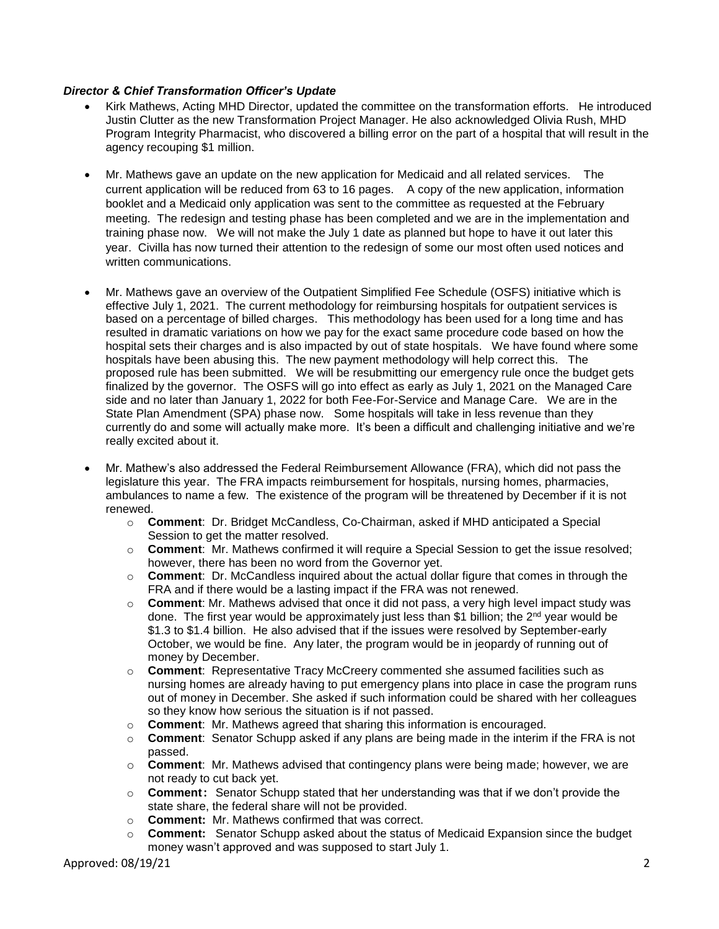## *Director & Chief Transformation Officer's Update*

- Kirk Mathews, Acting MHD Director, updated the committee on the transformation efforts. He introduced Justin Clutter as the new Transformation Project Manager. He also acknowledged Olivia Rush, MHD Program Integrity Pharmacist, who discovered a billing error on the part of a hospital that will result in the agency recouping \$1 million.
- Mr. Mathews gave an update on the new application for Medicaid and all related services. The current application will be reduced from 63 to 16 pages. A copy of the new application, information booklet and a Medicaid only application was sent to the committee as requested at the February meeting. The redesign and testing phase has been completed and we are in the implementation and training phase now. We will not make the July 1 date as planned but hope to have it out later this year. Civilla has now turned their attention to the redesign of some our most often used notices and written communications.
- Mr. Mathews gave an overview of the Outpatient Simplified Fee Schedule (OSFS) initiative which is effective July 1, 2021. The current methodology for reimbursing hospitals for outpatient services is based on a percentage of billed charges. This methodology has been used for a long time and has resulted in dramatic variations on how we pay for the exact same procedure code based on how the hospital sets their charges and is also impacted by out of state hospitals. We have found where some hospitals have been abusing this. The new payment methodology will help correct this. The proposed rule has been submitted. We will be resubmitting our emergency rule once the budget gets finalized by the governor. The OSFS will go into effect as early as July 1, 2021 on the Managed Care side and no later than January 1, 2022 for both Fee-For-Service and Manage Care. We are in the State Plan Amendment (SPA) phase now. Some hospitals will take in less revenue than they currently do and some will actually make more. It's been a difficult and challenging initiative and we're really excited about it.
- Mr. Mathew's also addressed the Federal Reimbursement Allowance (FRA), which did not pass the legislature this year. The FRA impacts reimbursement for hospitals, nursing homes, pharmacies, ambulances to name a few. The existence of the program will be threatened by December if it is not renewed.
	- o **Comment**: Dr. Bridget McCandless, Co-Chairman, asked if MHD anticipated a Special Session to get the matter resolved.
	- o **Comment**: Mr. Mathews confirmed it will require a Special Session to get the issue resolved; however, there has been no word from the Governor yet.
	- o **Comment**: Dr. McCandless inquired about the actual dollar figure that comes in through the FRA and if there would be a lasting impact if the FRA was not renewed.
	- o **Comment**: Mr. Mathews advised that once it did not pass, a very high level impact study was done. The first year would be approximately just less than \$1 billion; the  $2<sup>nd</sup>$  year would be \$1.3 to \$1.4 billion. He also advised that if the issues were resolved by September-early October, we would be fine. Any later, the program would be in jeopardy of running out of money by December.
	- o **Comment**: Representative Tracy McCreery commented she assumed facilities such as nursing homes are already having to put emergency plans into place in case the program runs out of money in December. She asked if such information could be shared with her colleagues so they know how serious the situation is if not passed.
	- o **Comment**: Mr. Mathews agreed that sharing this information is encouraged.
	- o **Comment**: Senator Schupp asked if any plans are being made in the interim if the FRA is not passed.
	- o **Comment**: Mr. Mathews advised that contingency plans were being made; however, we are not ready to cut back yet.
	- o **Comment**: Senator Schupp stated that her understanding was that if we don't provide the state share, the federal share will not be provided.
	- o **Comment:** Mr. Mathews confirmed that was correct.
	- o **Comment:** Senator Schupp asked about the status of Medicaid Expansion since the budget money wasn't approved and was supposed to start July 1.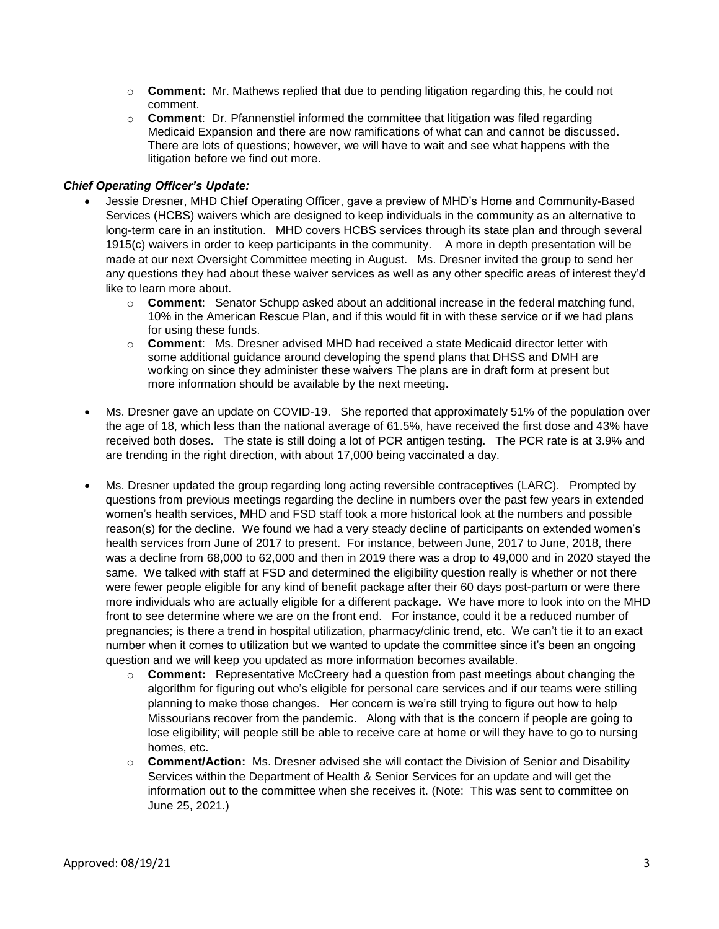- o **Comment:** Mr. Mathews replied that due to pending litigation regarding this, he could not comment.
- o **Comment**: Dr. Pfannenstiel informed the committee that litigation was filed regarding Medicaid Expansion and there are now ramifications of what can and cannot be discussed. There are lots of questions; however, we will have to wait and see what happens with the litigation before we find out more.

## *Chief Operating Officer's Update:*

- Jessie Dresner, MHD Chief Operating Officer, gave a preview of MHD's Home and Community-Based Services (HCBS) waivers which are designed to keep individuals in the community as an alternative to long-term care in an institution. MHD covers HCBS services through its state plan and through several 1915(c) waivers in order to keep participants in the community. A more in depth presentation will be made at our next Oversight Committee meeting in August. Ms. Dresner invited the group to send her any questions they had about these waiver services as well as any other specific areas of interest they'd like to learn more about.
	- o **Comment**: Senator Schupp asked about an additional increase in the federal matching fund, 10% in the American Rescue Plan, and if this would fit in with these service or if we had plans for using these funds.
	- o **Comment**: Ms. Dresner advised MHD had received a state Medicaid director letter with some additional guidance around developing the spend plans that DHSS and DMH are working on since they administer these waivers The plans are in draft form at present but more information should be available by the next meeting.
- Ms. Dresner gave an update on COVID-19. She reported that approximately 51% of the population over the age of 18, which less than the national average of 61.5%, have received the first dose and 43% have received both doses. The state is still doing a lot of PCR antigen testing. The PCR rate is at 3.9% and are trending in the right direction, with about 17,000 being vaccinated a day.
- Ms. Dresner updated the group regarding long acting reversible contraceptives (LARC). Prompted by questions from previous meetings regarding the decline in numbers over the past few years in extended women's health services, MHD and FSD staff took a more historical look at the numbers and possible reason(s) for the decline. We found we had a very steady decline of participants on extended women's health services from June of 2017 to present. For instance, between June, 2017 to June, 2018, there was a decline from 68,000 to 62,000 and then in 2019 there was a drop to 49,000 and in 2020 stayed the same. We talked with staff at FSD and determined the eligibility question really is whether or not there were fewer people eligible for any kind of benefit package after their 60 days post-partum or were there more individuals who are actually eligible for a different package. We have more to look into on the MHD front to see determine where we are on the front end. For instance, could it be a reduced number of pregnancies; is there a trend in hospital utilization, pharmacy/clinic trend, etc. We can't tie it to an exact number when it comes to utilization but we wanted to update the committee since it's been an ongoing question and we will keep you updated as more information becomes available.
	- o **Comment:** Representative McCreery had a question from past meetings about changing the algorithm for figuring out who's eligible for personal care services and if our teams were stilling planning to make those changes. Her concern is we're still trying to figure out how to help Missourians recover from the pandemic. Along with that is the concern if people are going to lose eligibility; will people still be able to receive care at home or will they have to go to nursing homes, etc.
	- o **Comment/Action:** Ms. Dresner advised she will contact the Division of Senior and Disability Services within the Department of Health & Senior Services for an update and will get the information out to the committee when she receives it. (Note: This was sent to committee on June 25, 2021.)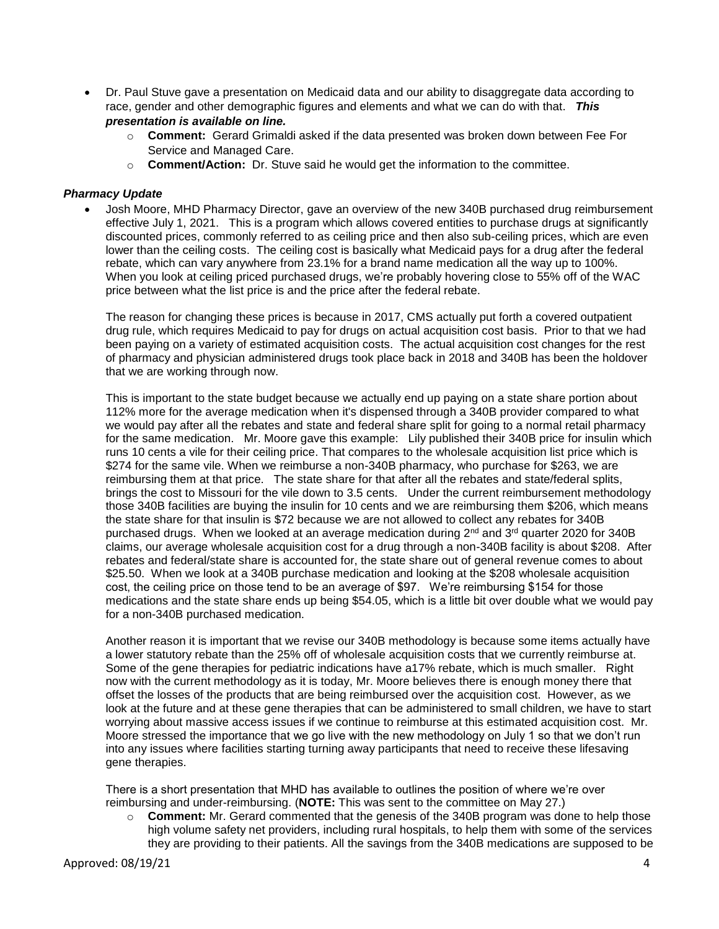- Dr. Paul Stuve gave a presentation on Medicaid data and our ability to disaggregate data according to race, gender and other demographic figures and elements and what we can do with that. *This presentation is available on line.*
	- o **Comment:** Gerard Grimaldi asked if the data presented was broken down between Fee For Service and Managed Care.
	- o **Comment/Action:**Dr. Stuve said he would get the information to the committee.

#### *Pharmacy Update*

 Josh Moore, MHD Pharmacy Director, gave an overview of the new 340B purchased drug reimbursement effective July 1, 2021. This is a program which allows covered entities to purchase drugs at significantly discounted prices, commonly referred to as ceiling price and then also sub-ceiling prices, which are even lower than the ceiling costs. The ceiling cost is basically what Medicaid pays for a drug after the federal rebate, which can vary anywhere from 23.1% for a brand name medication all the way up to 100%. When you look at ceiling priced purchased drugs, we're probably hovering close to 55% off of the WAC price between what the list price is and the price after the federal rebate.

The reason for changing these prices is because in 2017, CMS actually put forth a covered outpatient drug rule, which requires Medicaid to pay for drugs on actual acquisition cost basis. Prior to that we had been paying on a variety of estimated acquisition costs. The actual acquisition cost changes for the rest of pharmacy and physician administered drugs took place back in 2018 and 340B has been the holdover that we are working through now.

This is important to the state budget because we actually end up paying on a state share portion about 112% more for the average medication when it's dispensed through a 340B provider compared to what we would pay after all the rebates and state and federal share split for going to a normal retail pharmacy for the same medication. Mr. Moore gave this example: Lily published their 340B price for insulin which runs 10 cents a vile for their ceiling price. That compares to the wholesale acquisition list price which is \$274 for the same vile. When we reimburse a non-340B pharmacy, who purchase for \$263, we are reimbursing them at that price. The state share for that after all the rebates and state/federal splits, brings the cost to Missouri for the vile down to 3.5 cents. Under the current reimbursement methodology those 340B facilities are buying the insulin for 10 cents and we are reimbursing them \$206, which means the state share for that insulin is \$72 because we are not allowed to collect any rebates for 340B purchased drugs. When we looked at an average medication during  $2<sup>nd</sup>$  and  $3<sup>rd</sup>$  quarter 2020 for 340B claims, our average wholesale acquisition cost for a drug through a non-340B facility is about \$208. After rebates and federal/state share is accounted for, the state share out of general revenue comes to about \$25.50. When we look at a 340B purchase medication and looking at the \$208 wholesale acquisition cost, the ceiling price on those tend to be an average of \$97. We're reimbursing \$154 for those medications and the state share ends up being \$54.05, which is a little bit over double what we would pay for a non-340B purchased medication.

Another reason it is important that we revise our 340B methodology is because some items actually have a lower statutory rebate than the 25% off of wholesale acquisition costs that we currently reimburse at. Some of the gene therapies for pediatric indications have a17% rebate, which is much smaller. Right now with the current methodology as it is today, Mr. Moore believes there is enough money there that offset the losses of the products that are being reimbursed over the acquisition cost. However, as we look at the future and at these gene therapies that can be administered to small children, we have to start worrying about massive access issues if we continue to reimburse at this estimated acquisition cost. Mr. Moore stressed the importance that we go live with the new methodology on July 1 so that we don't run into any issues where facilities starting turning away participants that need to receive these lifesaving gene therapies.

There is a short presentation that MHD has available to outlines the position of where we're over reimbursing and under-reimbursing. (**NOTE:** This was sent to the committee on May 27.)

o **Comment:** Mr. Gerard commented that the genesis of the 340B program was done to help those high volume safety net providers, including rural hospitals, to help them with some of the services they are providing to their patients. All the savings from the 340B medications are supposed to be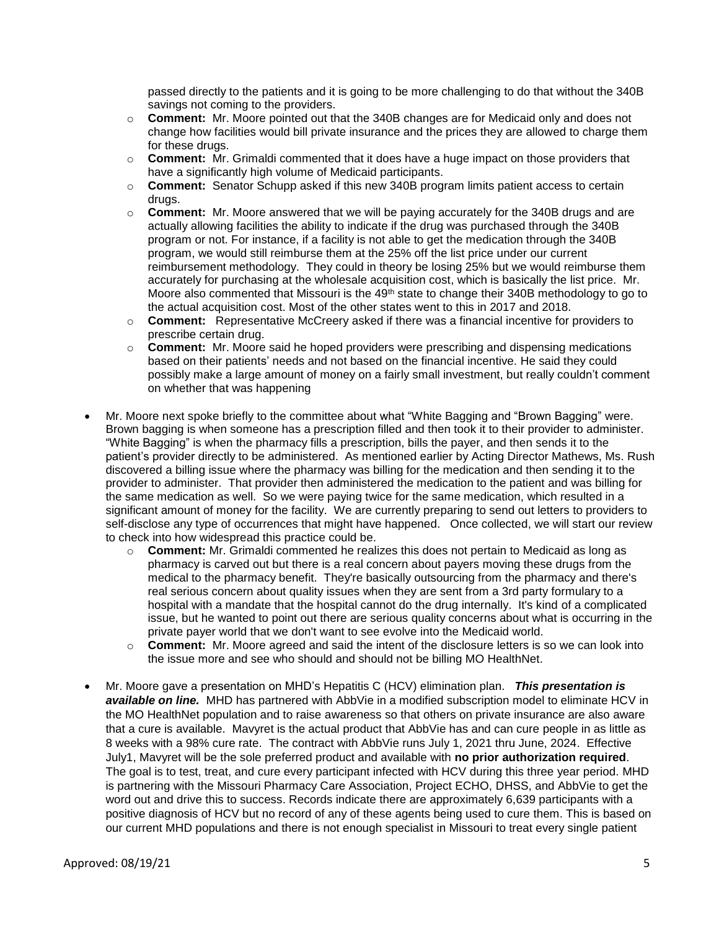passed directly to the patients and it is going to be more challenging to do that without the 340B savings not coming to the providers.

- o **Comment:** Mr. Moore pointed out that the 340B changes are for Medicaid only and does not change how facilities would bill private insurance and the prices they are allowed to charge them for these drugs.
- o **Comment:** Mr. Grimaldi commented that it does have a huge impact on those providers that have a significantly high volume of Medicaid participants.
- o **Comment:** Senator Schupp asked if this new 340B program limits patient access to certain drugs.
- o **Comment:** Mr. Moore answered that we will be paying accurately for the 340B drugs and are actually allowing facilities the ability to indicate if the drug was purchased through the 340B program or not. For instance, if a facility is not able to get the medication through the 340B program, we would still reimburse them at the 25% off the list price under our current reimbursement methodology. They could in theory be losing 25% but we would reimburse them accurately for purchasing at the wholesale acquisition cost, which is basically the list price. Mr. Moore also commented that Missouri is the  $49<sup>th</sup>$  state to change their 340B methodology to go to the actual acquisition cost. Most of the other states went to this in 2017 and 2018.
- o **Comment:** Representative McCreery asked if there was a financial incentive for providers to prescribe certain drug.
- o **Comment:** Mr. Moore said he hoped providers were prescribing and dispensing medications based on their patients' needs and not based on the financial incentive. He said they could possibly make a large amount of money on a fairly small investment, but really couldn't comment on whether that was happening
- Mr. Moore next spoke briefly to the committee about what "White Bagging and "Brown Bagging" were. Brown bagging is when someone has a prescription filled and then took it to their provider to administer. "White Bagging" is when the pharmacy fills a prescription, bills the payer, and then sends it to the patient's provider directly to be administered. As mentioned earlier by Acting Director Mathews, Ms. Rush discovered a billing issue where the pharmacy was billing for the medication and then sending it to the provider to administer. That provider then administered the medication to the patient and was billing for the same medication as well. So we were paying twice for the same medication, which resulted in a significant amount of money for the facility. We are currently preparing to send out letters to providers to self-disclose any type of occurrences that might have happened. Once collected, we will start our review to check into how widespread this practice could be.
	- o **Comment:** Mr. Grimaldi commented he realizes this does not pertain to Medicaid as long as pharmacy is carved out but there is a real concern about payers moving these drugs from the medical to the pharmacy benefit. They're basically outsourcing from the pharmacy and there's real serious concern about quality issues when they are sent from a 3rd party formulary to a hospital with a mandate that the hospital cannot do the drug internally. It's kind of a complicated issue, but he wanted to point out there are serious quality concerns about what is occurring in the private payer world that we don't want to see evolve into the Medicaid world.
	- o **Comment:** Mr. Moore agreed and said the intent of the disclosure letters is so we can look into the issue more and see who should and should not be billing MO HealthNet.
- Mr. Moore gave a presentation on MHD's Hepatitis C (HCV) elimination plan. *This presentation is available on line.* MHD has partnered with AbbVie in a modified subscription model to eliminate HCV in the MO HealthNet population and to raise awareness so that others on private insurance are also aware that a cure is available. Mavyret is the actual product that AbbVie has and can cure people in as little as 8 weeks with a 98% cure rate. The contract with AbbVie runs July 1, 2021 thru June, 2024. Effective July1, Mavyret will be the sole preferred product and available with **no prior authorization required**. The goal is to test, treat, and cure every participant infected with HCV during this three year period. MHD is partnering with the Missouri Pharmacy Care Association, Project ECHO, DHSS, and AbbVie to get the word out and drive this to success. Records indicate there are approximately 6,639 participants with a positive diagnosis of HCV but no record of any of these agents being used to cure them. This is based on our current MHD populations and there is not enough specialist in Missouri to treat every single patient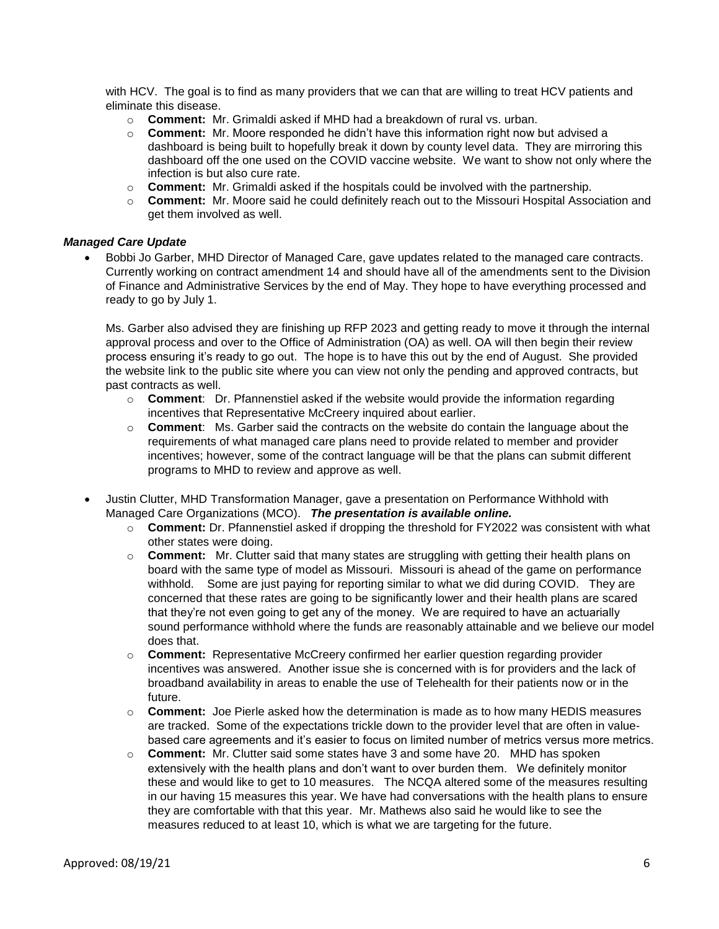with HCV. The goal is to find as many providers that we can that are willing to treat HCV patients and eliminate this disease.

- o **Comment:** Mr. Grimaldi asked if MHD had a breakdown of rural vs. urban.
- o **Comment:** Mr. Moore responded he didn't have this information right now but advised a dashboard is being built to hopefully break it down by county level data. They are mirroring this dashboard off the one used on the COVID vaccine website. We want to show not only where the infection is but also cure rate.
- o **Comment:** Mr. Grimaldi asked if the hospitals could be involved with the partnership.
- o **Comment:** Mr. Moore said he could definitely reach out to the Missouri Hospital Association and get them involved as well.

## *Managed Care Update*

 Bobbi Jo Garber, MHD Director of Managed Care, gave updates related to the managed care contracts. Currently working on contract amendment 14 and should have all of the amendments sent to the Division of Finance and Administrative Services by the end of May. They hope to have everything processed and ready to go by July 1.

Ms. Garber also advised they are finishing up RFP 2023 and getting ready to move it through the internal approval process and over to the Office of Administration (OA) as well. OA will then begin their review process ensuring it's ready to go out. The hope is to have this out by the end of August. She provided the website link to the public site where you can view not only the pending and approved contracts, but past contracts as well.

- o **Comment**: Dr. Pfannenstiel asked if the website would provide the information regarding incentives that Representative McCreery inquired about earlier.
- o **Comment**: Ms. Garber said the contracts on the website do contain the language about the requirements of what managed care plans need to provide related to member and provider incentives; however, some of the contract language will be that the plans can submit different programs to MHD to review and approve as well.
- Justin Clutter, MHD Transformation Manager, gave a presentation on Performance Withhold with Managed Care Organizations (MCO). *The presentation is available online.*
	- o **Comment:** Dr. Pfannenstiel asked if dropping the threshold for FY2022 was consistent with what other states were doing.
	- o **Comment:** Mr. Clutter said that many states are struggling with getting their health plans on board with the same type of model as Missouri. Missouri is ahead of the game on performance withhold. Some are just paying for reporting similar to what we did during COVID. They are concerned that these rates are going to be significantly lower and their health plans are scared that they're not even going to get any of the money. We are required to have an actuarially sound performance withhold where the funds are reasonably attainable and we believe our model does that.
	- o **Comment:** Representative McCreery confirmed her earlier question regarding provider incentives was answered. Another issue she is concerned with is for providers and the lack of broadband availability in areas to enable the use of Telehealth for their patients now or in the future.
	- o **Comment:** Joe Pierle asked how the determination is made as to how many HEDIS measures are tracked. Some of the expectations trickle down to the provider level that are often in valuebased care agreements and it's easier to focus on limited number of metrics versus more metrics.
	- o **Comment:** Mr. Clutter said some states have 3 and some have 20. MHD has spoken extensively with the health plans and don't want to over burden them. We definitely monitor these and would like to get to 10 measures. The NCQA altered some of the measures resulting in our having 15 measures this year. We have had conversations with the health plans to ensure they are comfortable with that this year. Mr. Mathews also said he would like to see the measures reduced to at least 10, which is what we are targeting for the future.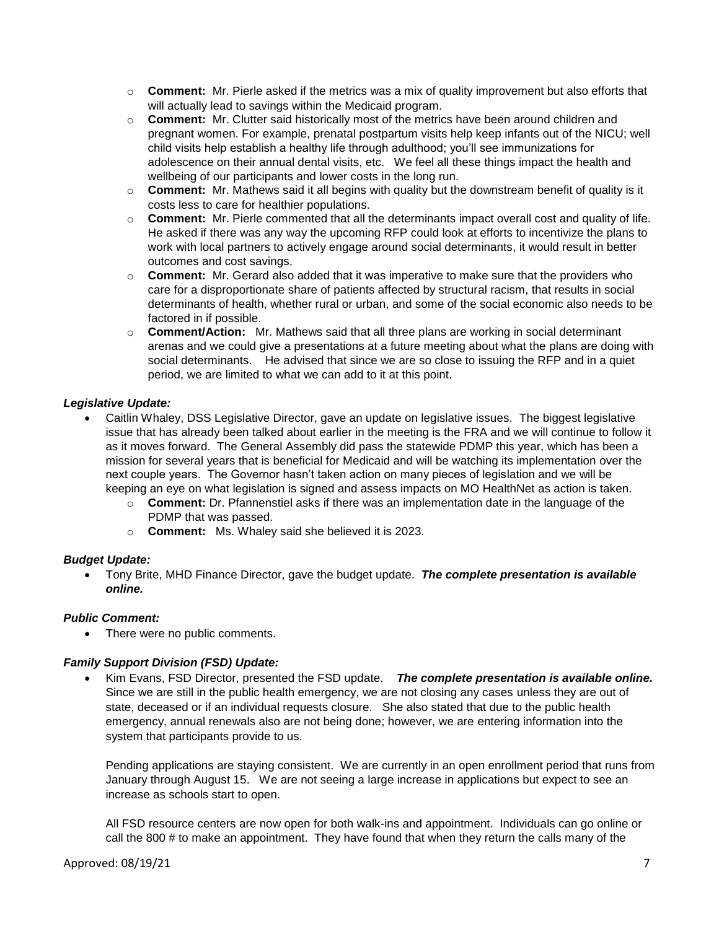- o **Comment:**Mr. Pierle asked if the metrics was a mix of quality improvement but also efforts that will actually lead to savings within the Medicaid program.
- o **Comment:**Mr. Clutter said historically most of the metrics have been around children and pregnant women. For example, prenatal postpartum visits help keep infants out of the NICU; well child visits help establish a healthy life through adulthood; you'll see immunizations for adolescence on their annual dental visits, etc. We feel all these things impact the health and wellbeing of our participants and lower costs in the long run.
- o **Comment:**Mr. Mathews said it all begins with quality but the downstream benefit of quality is it costs less to care for healthier populations.
- o **Comment:**Mr. Pierle commented that all the determinants impact overall cost and quality of life. He asked if there was any way the upcoming RFP could look at efforts to incentivize the plans to work with local partners to actively engage around social determinants, it would result in better outcomes and cost savings.
- o **Comment:** Mr. Gerard also added that it was imperative to make sure that the providers who care for a disproportionate share of patients affected by structural racism, that results in social determinants of health, whether rural or urban, and some of the social economic also needs to be factored in if possible.
- o **Comment/Action:**Mr. Mathews said that all three plans are working in social determinant arenas and we could give a presentations at a future meeting about what the plans are doing with social determinants. He advised that since we are so close to issuing the RFP and in a quiet period, we are limited to what we can add to it at this point.

# *Legislative Update:*

- Caitlin Whaley, DSS Legislative Director, gave an update on legislative issues. The biggest legislative issue that has already been talked about earlier in the meeting is the FRA and we will continue to follow it as it moves forward. The General Assembly did pass the statewide PDMP this year, which has been a mission for several years that is beneficial for Medicaid and will be watching its implementation over the next couple years. The Governor hasn't taken action on many pieces of legislation and we will be keeping an eye on what legislation is signed and assess impacts on MO HealthNet as action is taken.
	- o **Comment:** Dr. Pfannenstiel asks if there was an implementation date in the language of the PDMP that was passed.
	- o **Comment:** Ms. Whaley said she believed it is 2023.

## *Budget Update:*

 Tony Brite, MHD Finance Director, gave the budget update. *The complete presentation is available online.*

## *Public Comment:*

• There were no public comments.

## *Family Support Division (FSD) Update:*

 Kim Evans, FSD Director, presented the FSD update. *The complete presentation is available online.* Since we are still in the public health emergency, we are not closing any cases unless they are out of state, deceased or if an individual requests closure. She also stated that due to the public health emergency, annual renewals also are not being done; however, we are entering information into the system that participants provide to us.

Pending applications are staying consistent. We are currently in an open enrollment period that runs from January through August 15. We are not seeing a large increase in applications but expect to see an increase as schools start to open.

All FSD resource centers are now open for both walk-ins and appointment. Individuals can go online or call the 800 # to make an appointment. They have found that when they return the calls many of the